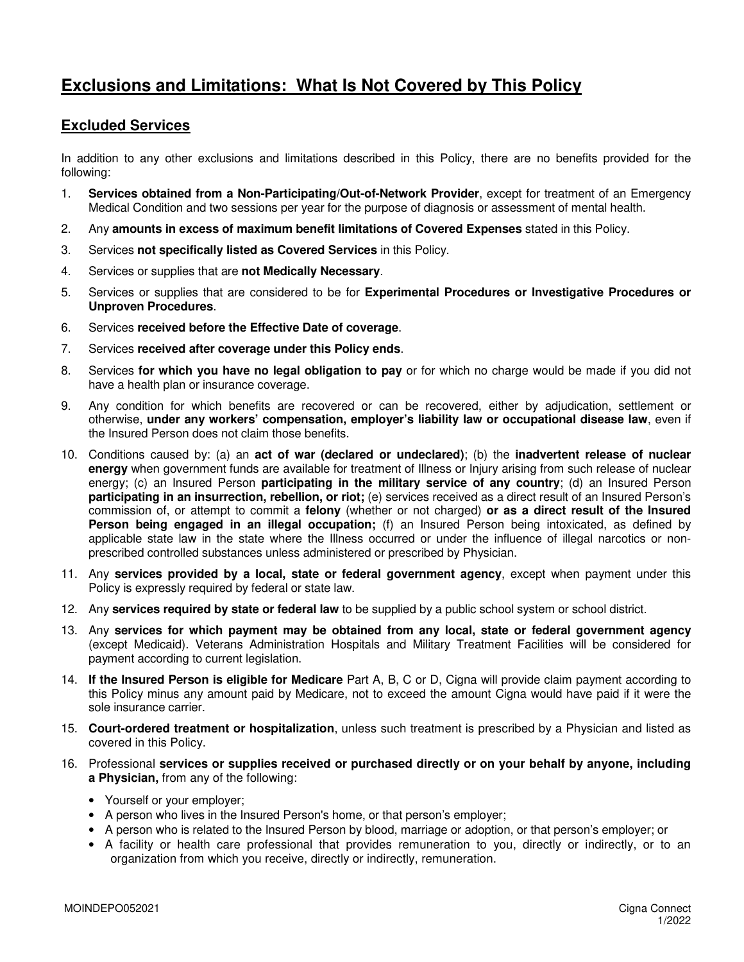## **Exclusions and Limitations: What Is Not Covered by This Policy**

## **Excluded Services**

In addition to any other exclusions and limitations described in this Policy, there are no benefits provided for the following:

- 1. **Services obtained from a Non-Participating/Out-of-Network Provider**, except for treatment of an Emergency Medical Condition and two sessions per year for the purpose of diagnosis or assessment of mental health.
- 2. Any **amounts in excess of maximum benefit limitations of Covered Expenses** stated in this Policy.
- 3. Services **not specifically listed as Covered Services** in this Policy.
- 4. Services or supplies that are **not Medically Necessary**.
- 5. Services or supplies that are considered to be for **Experimental Procedures or Investigative Procedures or Unproven Procedures**.
- 6. Services **received before the Effective Date of coverage**.
- 7. Services **received after coverage under this Policy ends**.
- 8. Services **for which you have no legal obligation to pay** or for which no charge would be made if you did not have a health plan or insurance coverage.
- 9. Any condition for which benefits are recovered or can be recovered, either by adjudication, settlement or otherwise, **under any workers' compensation, employer's liability law or occupational disease law**, even if the Insured Person does not claim those benefits.
- 10. Conditions caused by: (a) an **act of war (declared or undeclared)**; (b) the **inadvertent release of nuclear energy** when government funds are available for treatment of Illness or Injury arising from such release of nuclear energy; (c) an Insured Person **participating in the military service of any country**; (d) an Insured Person **participating in an insurrection, rebellion, or riot;** (e) services received as a direct result of an Insured Person's commission of, or attempt to commit a **felony** (whether or not charged) **or as a direct result of the Insured Person being engaged in an illegal occupation;** (f) an Insured Person being intoxicated, as defined by applicable state law in the state where the Illness occurred or under the influence of illegal narcotics or nonprescribed controlled substances unless administered or prescribed by Physician.
- 11. Any **services provided by a local, state or federal government agency**, except when payment under this Policy is expressly required by federal or state law.
- 12. Any **services required by state or federal law** to be supplied by a public school system or school district.
- 13. Any **services for which payment may be obtained from any local, state or federal government agency** (except Medicaid). Veterans Administration Hospitals and Military Treatment Facilities will be considered for payment according to current legislation.
- 14. **If the Insured Person is eligible for Medicare** Part A, B, C or D, Cigna will provide claim payment according to this Policy minus any amount paid by Medicare, not to exceed the amount Cigna would have paid if it were the sole insurance carrier.
- 15. **Court-ordered treatment or hospitalization**, unless such treatment is prescribed by a Physician and listed as covered in this Policy.
- 16. Professional **services or supplies received or purchased directly or on your behalf by anyone, including a Physician,** from any of the following:
	- Yourself or your employer;
	- A person who lives in the Insured Person's home, or that person's employer;
	- A person who is related to the Insured Person by blood, marriage or adoption, or that person's employer; or
	- A facility or health care professional that provides remuneration to you, directly or indirectly, or to an organization from which you receive, directly or indirectly, remuneration.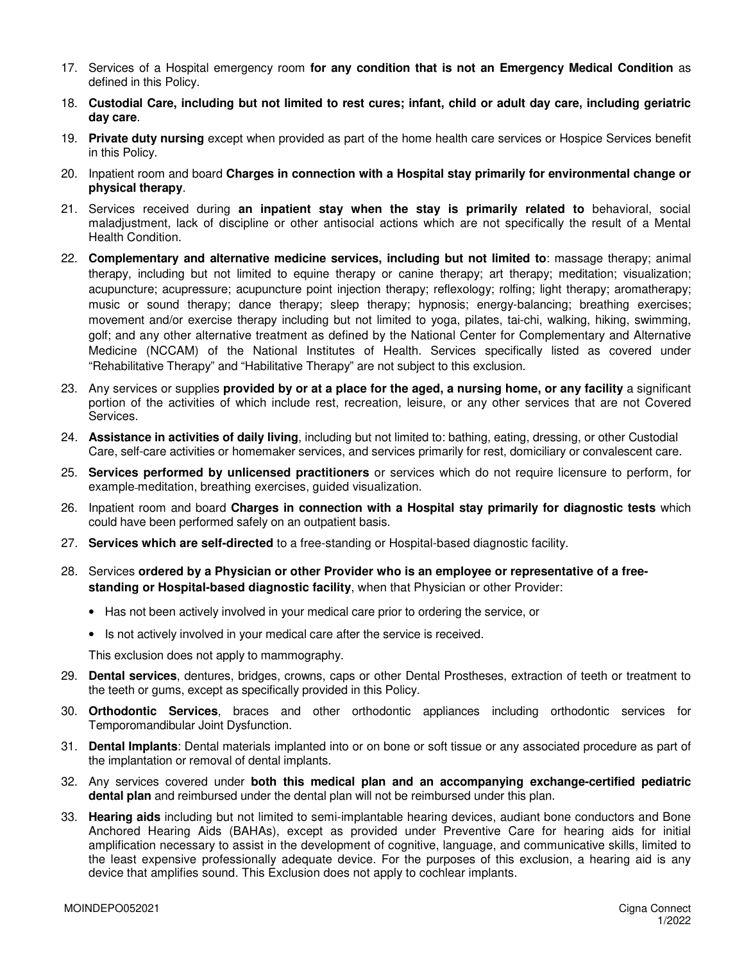- 17. Services of a Hospital emergency room **for any condition that is not an Emergency Medical Condition** as defined in this Policy.
- 18. **Custodial Care, including but not limited to rest cures; infant, child or adult day care, including geriatric day care**.
- 19. **Private duty nursing** except when provided as part of the home health care services or Hospice Services benefit in this Policy.
- 20. Inpatient room and board **Charges in connection with a Hospital stay primarily for environmental change or physical therapy**.
- 21. Services received during **an inpatient stay when the stay is primarily related to** behavioral, social maladjustment, lack of discipline or other antisocial actions which are not specifically the result of a Mental Health Condition.
- 22. **Complementary and alternative medicine services, including but not limited to**: massage therapy; animal therapy, including but not limited to equine therapy or canine therapy; art therapy; meditation; visualization; acupuncture; acupressure; acupuncture point injection therapy; reflexology; rolfing; light therapy; aromatherapy; music or sound therapy; dance therapy; sleep therapy; hypnosis; energy-balancing; breathing exercises; movement and/or exercise therapy including but not limited to yoga, pilates, tai-chi, walking, hiking, swimming, golf; and any other alternative treatment as defined by the National Center for Complementary and Alternative Medicine (NCCAM) of the National Institutes of Health. Services specifically listed as covered under "Rehabilitative Therapy" and "Habilitative Therapy" are not subject to this exclusion.
- 23. Any services or supplies **provided by or at a place for the aged, a nursing home, or any facility** a significant portion of the activities of which include rest, recreation, leisure, or any other services that are not Covered Services.
- 24. **Assistance in activities of daily living**, including but not limited to: bathing, eating, dressing, or other Custodial Care, self-care activities or homemaker services, and services primarily for rest, domiciliary or convalescent care.
- 25. **Services performed by unlicensed practitioners** or services which do not require licensure to perform, for example-meditation, breathing exercises, guided visualization.
- 26. Inpatient room and board **Charges in connection with a Hospital stay primarily for diagnostic tests** which could have been performed safely on an outpatient basis.
- 27. **Services which are self-directed** to a free-standing or Hospital-based diagnostic facility.
- 28. Services **ordered by a Physician or other Provider who is an employee or representative of a freestanding or Hospital-based diagnostic facility**, when that Physician or other Provider:
	- Has not been actively involved in your medical care prior to ordering the service, or
	- Is not actively involved in your medical care after the service is received.

This exclusion does not apply to mammography.

- 29. **Dental services**, dentures, bridges, crowns, caps or other Dental Prostheses, extraction of teeth or treatment to the teeth or gums, except as specifically provided in this Policy.
- 30. **Orthodontic Services**, braces and other orthodontic appliances including orthodontic services for Temporomandibular Joint Dysfunction.
- 31. **Dental Implants**: Dental materials implanted into or on bone or soft tissue or any associated procedure as part of the implantation or removal of dental implants.
- 32. Any services covered under **both this medical plan and an accompanying exchange-certified pediatric dental plan** and reimbursed under the dental plan will not be reimbursed under this plan.
- 33. **Hearing aids** including but not limited to semi-implantable hearing devices, audiant bone conductors and Bone Anchored Hearing Aids (BAHAs), except as provided under Preventive Care for hearing aids for initial amplification necessary to assist in the development of cognitive, language, and communicative skills, limited to the least expensive professionally adequate device. For the purposes of this exclusion, a hearing aid is any device that amplifies sound. This Exclusion does not apply to cochlear implants.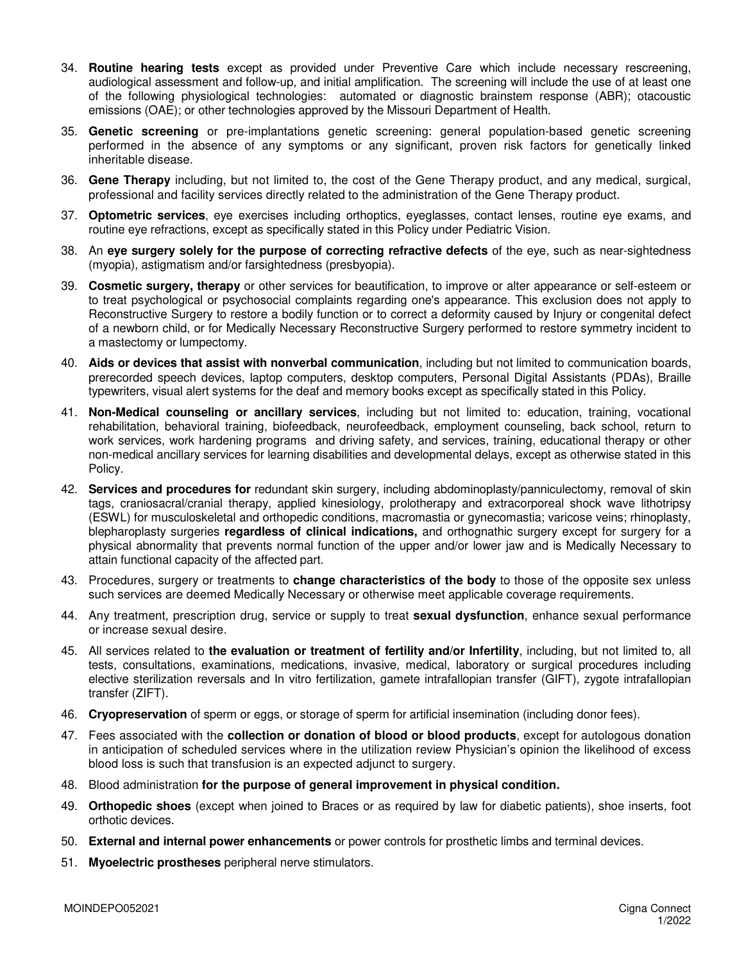- 34. **Routine hearing tests** except as provided under Preventive Care which include necessary rescreening, audiological assessment and follow-up, and initial amplification. The screening will include the use of at least one of the following physiological technologies: automated or diagnostic brainstem response (ABR); otacoustic emissions (OAE); or other technologies approved by the Missouri Department of Health.
- 35. **Genetic screening** or pre-implantations genetic screening: general population-based genetic screening performed in the absence of any symptoms or any significant, proven risk factors for genetically linked inheritable disease.
- 36. **Gene Therapy** including, but not limited to, the cost of the Gene Therapy product, and any medical, surgical, professional and facility services directly related to the administration of the Gene Therapy product.
- 37. **Optometric services**, eye exercises including orthoptics, eyeglasses, contact lenses, routine eye exams, and routine eye refractions, except as specifically stated in this Policy under Pediatric Vision.
- 38. An **eye surgery solely for the purpose of correcting refractive defects** of the eye, such as near-sightedness (myopia), astigmatism and/or farsightedness (presbyopia).
- 39. **Cosmetic surgery, therapy** or other services for beautification, to improve or alter appearance or self-esteem or to treat psychological or psychosocial complaints regarding one's appearance. This exclusion does not apply to Reconstructive Surgery to restore a bodily function or to correct a deformity caused by Injury or congenital defect of a newborn child, or for Medically Necessary Reconstructive Surgery performed to restore symmetry incident to a mastectomy or lumpectomy.
- 40. **Aids or devices that assist with nonverbal communication**, including but not limited to communication boards, prerecorded speech devices, laptop computers, desktop computers, Personal Digital Assistants (PDAs), Braille typewriters, visual alert systems for the deaf and memory books except as specifically stated in this Policy.
- 41. **Non-Medical counseling or ancillary services**, including but not limited to: education, training, vocational rehabilitation, behavioral training, biofeedback, neurofeedback, employment counseling, back school, return to work services, work hardening programs and driving safety, and services, training, educational therapy or other non-medical ancillary services for learning disabilities and developmental delays, except as otherwise stated in this Policy.
- 42. **Services and procedures for** redundant skin surgery, including abdominoplasty/panniculectomy, removal of skin tags, craniosacral/cranial therapy, applied kinesiology, prolotherapy and extracorporeal shock wave lithotripsy (ESWL) for musculoskeletal and orthopedic conditions, macromastia or gynecomastia; varicose veins; rhinoplasty, blepharoplasty surgeries **regardless of clinical indications,** and orthognathic surgery except for surgery for a physical abnormality that prevents normal function of the upper and/or lower jaw and is Medically Necessary to attain functional capacity of the affected part.
- 43. Procedures, surgery or treatments to **change characteristics of the body** to those of the opposite sex unless such services are deemed Medically Necessary or otherwise meet applicable coverage requirements.
- 44. Any treatment, prescription drug, service or supply to treat **sexual dysfunction**, enhance sexual performance or increase sexual desire.
- 45. All services related to **the evaluation or treatment of fertility and/or Infertility**, including, but not limited to, all tests, consultations, examinations, medications, invasive, medical, laboratory or surgical procedures including elective sterilization reversals and In vitro fertilization, gamete intrafallopian transfer (GIFT), zygote intrafallopian transfer (ZIFT).
- 46. **Cryopreservation** of sperm or eggs, or storage of sperm for artificial insemination (including donor fees).
- 47. Fees associated with the **collection or donation of blood or blood products**, except for autologous donation in anticipation of scheduled services where in the utilization review Physician's opinion the likelihood of excess blood loss is such that transfusion is an expected adjunct to surgery.
- 48. Blood administration **for the purpose of general improvement in physical condition.**
- 49. **Orthopedic shoes** (except when joined to Braces or as required by law for diabetic patients), shoe inserts, foot orthotic devices.
- 50. **External and internal power enhancements** or power controls for prosthetic limbs and terminal devices.
- 51. **Myoelectric prostheses** peripheral nerve stimulators.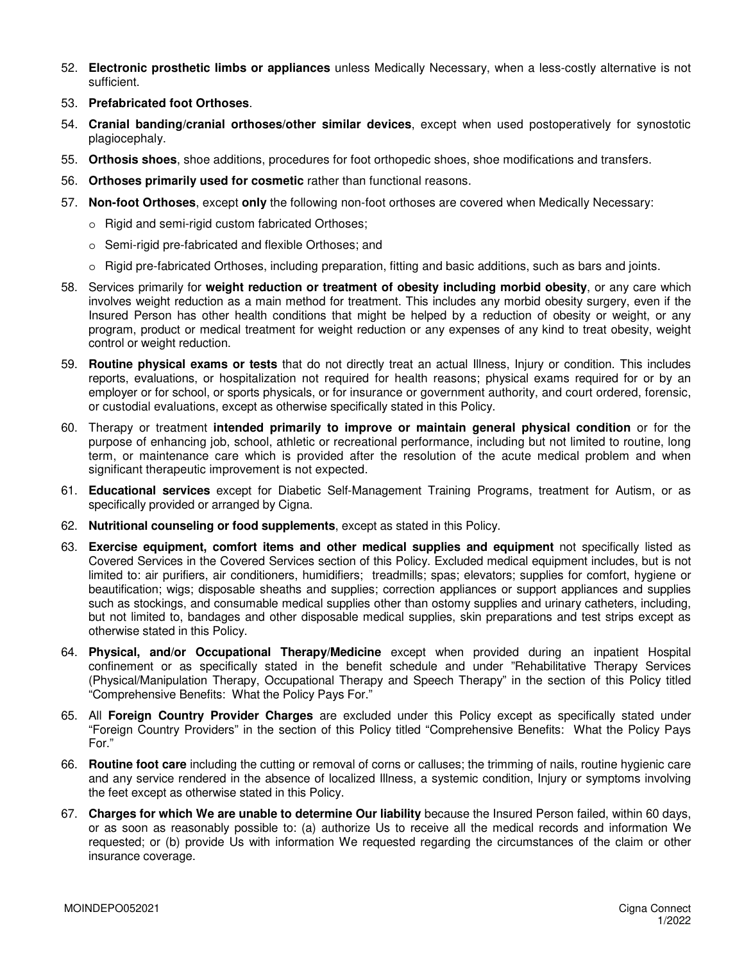- 52. **Electronic prosthetic limbs or appliances** unless Medically Necessary, when a less-costly alternative is not sufficient.
- 53. **Prefabricated foot Orthoses**.
- 54. **Cranial banding/cranial orthoses/other similar devices**, except when used postoperatively for synostotic plagiocephaly.
- 55. **Orthosis shoes**, shoe additions, procedures for foot orthopedic shoes, shoe modifications and transfers.
- 56. **Orthoses primarily used for cosmetic** rather than functional reasons.
- 57. **Non-foot Orthoses**, except **only** the following non-foot orthoses are covered when Medically Necessary:
	- o Rigid and semi-rigid custom fabricated Orthoses;
	- o Semi-rigid pre-fabricated and flexible Orthoses; and
	- o Rigid pre-fabricated Orthoses, including preparation, fitting and basic additions, such as bars and joints.
- 58. Services primarily for **weight reduction or treatment of obesity including morbid obesity**, or any care which involves weight reduction as a main method for treatment. This includes any morbid obesity surgery, even if the Insured Person has other health conditions that might be helped by a reduction of obesity or weight, or any program, product or medical treatment for weight reduction or any expenses of any kind to treat obesity, weight control or weight reduction.
- 59. **Routine physical exams or tests** that do not directly treat an actual Illness, Injury or condition. This includes reports, evaluations, or hospitalization not required for health reasons; physical exams required for or by an employer or for school, or sports physicals, or for insurance or government authority, and court ordered, forensic, or custodial evaluations, except as otherwise specifically stated in this Policy.
- 60. Therapy or treatment **intended primarily to improve or maintain general physical condition** or for the purpose of enhancing job, school, athletic or recreational performance, including but not limited to routine, long term, or maintenance care which is provided after the resolution of the acute medical problem and when significant therapeutic improvement is not expected.
- 61. **Educational services** except for Diabetic Self-Management Training Programs, treatment for Autism, or as specifically provided or arranged by Cigna.
- 62. **Nutritional counseling or food supplements**, except as stated in this Policy.
- 63. **Exercise equipment, comfort items and other medical supplies and equipment** not specifically listed as Covered Services in the Covered Services section of this Policy. Excluded medical equipment includes, but is not limited to: air purifiers, air conditioners, humidifiers; treadmills; spas; elevators; supplies for comfort, hygiene or beautification; wigs; disposable sheaths and supplies; correction appliances or support appliances and supplies such as stockings, and consumable medical supplies other than ostomy supplies and urinary catheters, including, but not limited to, bandages and other disposable medical supplies, skin preparations and test strips except as otherwise stated in this Policy.
- 64. **Physical, and/or Occupational Therapy/Medicine** except when provided during an inpatient Hospital confinement or as specifically stated in the benefit schedule and under "Rehabilitative Therapy Services (Physical/Manipulation Therapy, Occupational Therapy and Speech Therapy" in the section of this Policy titled "Comprehensive Benefits: What the Policy Pays For."
- 65. All **Foreign Country Provider Charges** are excluded under this Policy except as specifically stated under "Foreign Country Providers" in the section of this Policy titled "Comprehensive Benefits: What the Policy Pays For."
- 66. **Routine foot care** including the cutting or removal of corns or calluses; the trimming of nails, routine hygienic care and any service rendered in the absence of localized Illness, a systemic condition, Injury or symptoms involving the feet except as otherwise stated in this Policy.
- 67. **Charges for which We are unable to determine Our liability** because the Insured Person failed, within 60 days, or as soon as reasonably possible to: (a) authorize Us to receive all the medical records and information We requested; or (b) provide Us with information We requested regarding the circumstances of the claim or other insurance coverage.